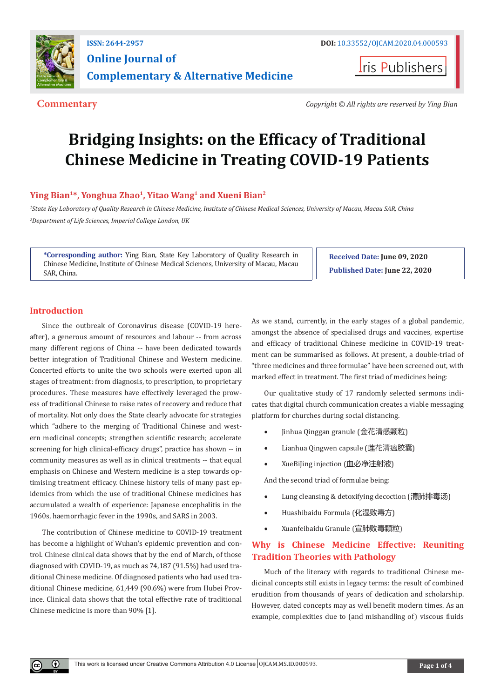

**Iris Publishers** 

**Commentary** *Copyright © All rights are reserved by Ying Bian*

# **Bridging Insights: on the Efficacy of Traditional Chinese Medicine in Treating COVID-19 Patients**

# Ying Bian<sup>1\*</sup>, Yonghua Zhao<sup>1</sup>, Yitao Wang<sup>1</sup> and Xueni Bian<sup>2</sup>

*1 State Key Laboratory of Quality Research in Chinese Medicine, Institute of Chinese Medical Sciences, University of Macau, Macau SAR, China 2 Department of Life Sciences, Imperial College London, UK*

**\*Corresponding author:** Ying Bian, State Key Laboratory of Quality Research in Chinese Medicine, Institute of Chinese Medical Sciences, University of Macau, Macau SAR, China.

**Received Date: June 09, 2020 Published Date: June 22, 2020**

# **Introduction**

 $\bf{0}$ 

Since the outbreak of Coronavirus disease (COVID-19 hereafter), a generous amount of resources and labour -- from across many different regions of China -- have been dedicated towards better integration of Traditional Chinese and Western medicine. Concerted efforts to unite the two schools were exerted upon all stages of treatment: from diagnosis, to prescription, to proprietary procedures. These measures have effectively leveraged the prowess of traditional Chinese to raise rates of recovery and reduce that of mortality. Not only does the State clearly advocate for strategies which "adhere to the merging of Traditional Chinese and western medicinal concepts; strengthen scientific research; accelerate screening for high clinical-efficacy drugs", practice has shown -- in community measures as well as in clinical treatments -- that equal emphasis on Chinese and Western medicine is a step towards optimising treatment efficacy. Chinese history tells of many past epidemics from which the use of traditional Chinese medicines has accumulated a wealth of experience: Japanese encephalitis in the 1960s, haemorrhagic fever in the 1990s, and SARS in 2003.

The contribution of Chinese medicine to COVID-19 treatment has become a highlight of Wuhan's epidemic prevention and control. Chinese clinical data shows that by the end of March, of those diagnosed with COVID-19, as much as 74,187 (91.5%) had used traditional Chinese medicine. Of diagnosed patients who had used traditional Chinese medicine, 61,449 (90.6%) were from Hubei Province. Clinical data shows that the total effective rate of traditional Chinese medicine is more than 90% [1].

As we stand, currently, in the early stages of a global pandemic, amongst the absence of specialised drugs and vaccines, expertise and efficacy of traditional Chinese medicine in COVID-19 treatment can be summarised as follows. At present, a double-triad of "three medicines and three formulae" have been screened out, with marked effect in treatment. The first triad of medicines being:

Our qualitative study of 17 randomly selected sermons indicates that digital church communication creates a viable messaging platform for churches during social distancing.

- Jinhua Qinggan granule (金花清感颗粒)
- Lianhua Qingwen capsule (莲花清瘟胶囊)
- XueBiJing injection (血必净注射液)

And the second triad of formulae being:

- Lung cleansing & detoxifying decoction (清肺排毒汤)
- Huashibaidu Formula (化湿败毒方)
- Xuanfeibaidu Granule (宣肺败毒顆粒)

# **Why is Chinese Medicine Effective: Reuniting Tradition Theories with Pathology**

Much of the literacy with regards to traditional Chinese medicinal concepts still exists in legacy terms: the result of combined erudition from thousands of years of dedication and scholarship. However, dated concepts may as well benefit modern times. As an example, complexities due to (and mishandling of) viscous fluids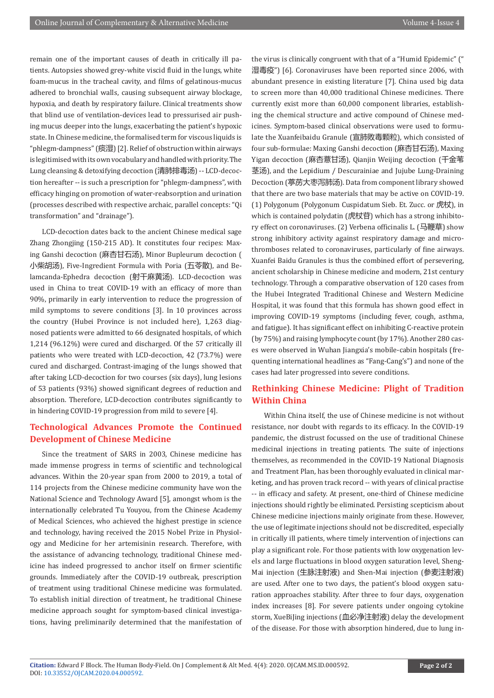remain one of the important causes of death in critically ill patients. Autopsies showed grey-white viscid fluid in the lungs, white foam-mucus in the tracheal cavity, and films of gelatinous-mucus adhered to bronchial walls, causing subsequent airway blockage, hypoxia, and death by respiratory failure. Clinical treatments show that blind use of ventilation-devices lead to pressurised air pushing mucus deeper into the lungs, exacerbating the patient's hypoxic state. In Chinese medicine, the formalised term for viscous liquids is "phlegm-dampness" (痰湿) [2]. Relief of obstruction within airways is legitimised with its own vocabulary and handled with priority. The Lung cleansing & detoxifying decoction (清肺排毒汤) -- LCD-decoction hereafter -- is such a prescription for "phlegm-dampness", with efficacy hinging on promotion of water-reabsorption and urination (processes described with respective archaic, parallel concepts: "Qi transformation" and "drainage").

LCD-decoction dates back to the ancient Chinese medical sage Zhang Zhongjing (150-215 AD). It constitutes four recipes: Maxing Ganshi decoction (麻杏甘石汤), Minor Bupleurum decoction ( 小柴胡汤), Five-Ingredient Formula with Poria (五苓散), and Belamcanda-Ephedra decoction (射干麻黄汤). LCD-decoction was used in China to treat COVID-19 with an efficacy of more than 90%, primarily in early intervention to reduce the progression of mild symptoms to severe conditions [3]. In 10 provinces across the country (Hubei Province is not included here), 1,263 diagnosed patients were admitted to 66 designated hospitals, of which 1,214 (96.12%) were cured and discharged. Of the 57 critically ill patients who were treated with LCD-decoction, 42 (73.7%) were cured and discharged. Contrast-imaging of the lungs showed that after taking LCD-decoction for two courses (six days), lung lesions of 53 patients (93%) showed significant degrees of reduction and absorption. Therefore, LCD-decoction contributes significantly to in hindering COVID-19 progression from mild to severe [4].

# **Technological Advances Promote the Continued Development of Chinese Medicine**

Since the treatment of SARS in 2003, Chinese medicine has made immense progress in terms of scientific and technological advances. Within the 20-year span from 2000 to 2019, a total of 114 projects from the Chinese medicine community have won the National Science and Technology Award [5], amongst whom is the internationally celebrated Tu Youyou, from the Chinese Academy of Medical Sciences, who achieved the highest prestige in science and technology, having received the 2015 Nobel Prize in Physiology and Medicine for her artemisinin research. Therefore, with the assistance of advancing technology, traditional Chinese medicine has indeed progressed to anchor itself on firmer scientific grounds. Immediately after the COVID-19 outbreak, prescription of treatment using traditional Chinese medicine was formulated. To establish initial direction of treatment, he traditional Chinese medicine approach sought for symptom-based clinical investigations, having preliminarily determined that the manifestation of the virus is clinically congruent with that of a "Humid Epidemic" (" 湿毒疫") [6]. Coronaviruses have been reported since 2006, with abundant presence in existing literature [7]. China used big data to screen more than 40,000 traditional Chinese medicines. There currently exist more than 60,000 component libraries, establishing the chemical structure and active compound of Chinese medicines. Symptom-based clinical observations were used to formulate the Xuanfeibaidu Granule (宣肺败毒颗粒), which consisted of four sub-formulae: Maxing Ganshi decoction (麻杏甘石汤), Maxing Yigan decoction (麻杏薏甘汤), Qianjin Weijing decoction (千金苇 茎汤), and the Lepidium / Descurainiae and Jujube Lung-Draining Decoction (葶苈大枣泻肺汤). Data from component library showed that there are two base materials that may be active on COVID-19. (1) Polygonum (Polygonum Cuspidatum Sieb. Et. Zucc. or 虎杖), in which is contained polydatin (虎杖苷) which has a strong inhibitory effect on coronaviruses. (2) Verbena officinalis L. (马鞭草) show strong inhibitory activity against respiratory damage and microthromboses related to coronaviruses, particularly of fine airways. Xuanfei Baidu Granules is thus the combined effort of persevering, ancient scholarship in Chinese medicine and modern, 21st century technology. Through a comparative observation of 120 cases from the Hubei Integrated Traditional Chinese and Western Medicine Hospital, it was found that this formula has shown good effect in improving COVID-19 symptoms (including fever, cough, asthma, and fatigue). It has significant effect on inhibiting C-reactive protein (by 75%) and raising lymphocyte count (by 17%). Another 280 cases were observed in Wuhan Jiangxia's mobile-cabin hospitals (frequenting international headlines as "Fang-Cang's") and none of the cases had later progressed into severe conditions.

# **Rethinking Chinese Medicine: Plight of Tradition Within China**

Within China itself, the use of Chinese medicine is not without resistance, nor doubt with regards to its efficacy. In the COVID-19 pandemic, the distrust focussed on the use of traditional Chinese medicinal injections in treating patients. The suite of injections themselves, as recommended in the COVID-19 National Diagnosis and Treatment Plan, has been thoroughly evaluated in clinical marketing, and has proven track record -- with years of clinical practise -- in efficacy and safety. At present, one-third of Chinese medicine injections should rightly be eliminated. Persisting scepticism about Chinese medicine injections mainly originate from these. However, the use of legitimate injections should not be discredited, especially in critically ill patients, where timely intervention of injections can play a significant role. For those patients with low oxygenation levels and large fluctuations in blood oxygen saturation level, Sheng-Mai injection (生脉注射液) and Shen-Mai injection (参麦注射液) are used. After one to two days, the patient's blood oxygen saturation approaches stability. After three to four days, oxygenation index increases [8]. For severe patients under ongoing cytokine storm, XueBiJing injections (血必净注射液) delay the development of the disease. For those with absorption hindered, due to lung in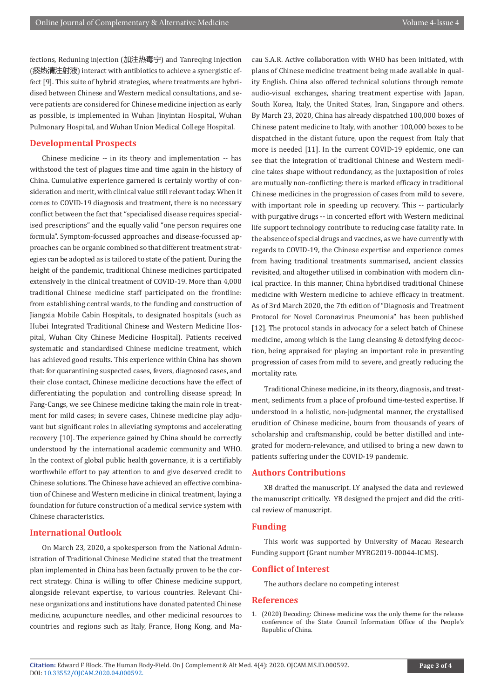fections, Reduning injection (加注热毒宁) and Tanreqing injection (痰热清注射液) interact with antibiotics to achieve a synergistic effect [9]. This suite of hybrid strategies, where treatments are hybridised between Chinese and Western medical consultations, and severe patients are considered for Chinese medicine injection as early as possible, is implemented in Wuhan Jinyintan Hospital, Wuhan Pulmonary Hospital, and Wuhan Union Medical College Hospital.

### **Developmental Prospects**

Chinese medicine -- in its theory and implementation -- has withstood the test of plagues time and time again in the history of China. Cumulative experience garnered is certainly worthy of consideration and merit, with clinical value still relevant today. When it comes to COVID-19 diagnosis and treatment, there is no necessary conflict between the fact that "specialised disease requires specialised prescriptions" and the equally valid "one person requires one formula". Symptom-focussed approaches and disease-focussed approaches can be organic combined so that different treatment strategies can be adopted as is tailored to state of the patient. During the height of the pandemic, traditional Chinese medicines participated extensively in the clinical treatment of COVID-19. More than 4,000 traditional Chinese medicine staff participated on the frontline: from establishing central wards, to the funding and construction of Jiangxia Mobile Cabin Hospitals, to designated hospitals (such as Hubei Integrated Traditional Chinese and Western Medicine Hospital, Wuhan City Chinese Medicine Hospital). Patients received systematic and standardised Chinese medicine treatment, which has achieved good results. This experience within China has shown that: for quarantining suspected cases, fevers, diagnosed cases, and their close contact, Chinese medicine decoctions have the effect of differentiating the population and controlling disease spread; In Fang-Cangs, we see Chinese medicine taking the main role in treatment for mild cases; in severe cases, Chinese medicine play adjuvant but significant roles in alleviating symptoms and accelerating recovery [10]. The experience gained by China should be correctly understood by the international academic community and WHO. In the context of global public health governance, it is a certifiably worthwhile effort to pay attention to and give deserved credit to Chinese solutions. The Chinese have achieved an effective combination of Chinese and Western medicine in clinical treatment, laying a foundation for future construction of a medical service system with Chinese characteristics.

### **International Outlook**

On March 23, 2020, a spokesperson from the National Administration of Traditional Chinese Medicine stated that the treatment plan implemented in China has been factually proven to be the correct strategy. China is willing to offer Chinese medicine support, alongside relevant expertise, to various countries. Relevant Chinese organizations and institutions have donated patented Chinese medicine, acupuncture needles, and other medicinal resources to countries and regions such as Italy, France, Hong Kong, and Macau S.A.R. Active collaboration with WHO has been initiated, with plans of Chinese medicine treatment being made available in quality English. China also offered technical solutions through remote audio-visual exchanges, sharing treatment expertise with Japan, South Korea, Italy, the United States, Iran, Singapore and others. By March 23, 2020, China has already dispatched 100,000 boxes of Chinese patent medicine to Italy, with another 100,000 boxes to be dispatched in the distant future, upon the request from Italy that more is needed [11]. In the current COVID-19 epidemic, one can see that the integration of traditional Chinese and Western medicine takes shape without redundancy, as the juxtaposition of roles are mutually non-conflicting: there is marked efficacy in traditional Chinese medicines in the progression of cases from mild to severe, with important role in speeding up recovery. This -- particularly with purgative drugs -- in concerted effort with Western medicinal life support technology contribute to reducing case fatality rate. In the absence of special drugs and vaccines, as we have currently with regards to COVID-19, the Chinese expertise and experience comes from having traditional treatments summarised, ancient classics revisited, and altogether utilised in combination with modern clinical practice. In this manner, China hybridised traditional Chinese medicine with Western medicine to achieve efficacy in treatment. As of 3rd March 2020, the 7th edition of "Diagnosis and Treatment Protocol for Novel Coronavirus Pneumonia" has been published [12]. The protocol stands in advocacy for a select batch of Chinese medicine, among which is the Lung cleansing & detoxifying decoction, being appraised for playing an important role in preventing progression of cases from mild to severe, and greatly reducing the mortality rate.

Traditional Chinese medicine, in its theory, diagnosis, and treatment, sediments from a place of profound time-tested expertise. If understood in a holistic, non-judgmental manner, the crystallised erudition of Chinese medicine, bourn from thousands of years of scholarship and craftsmanship, could be better distilled and integrated for modern-relevance, and utilised to bring a new dawn to patients suffering under the COVID-19 pandemic.

#### **Authors Contributions**

XB drafted the manuscript. LY analysed the data and reviewed the manuscript critically. YB designed the project and did the critical review of manuscript.

#### **Funding**

This work was supported by University of Macau Research Funding support (Grant number MYRG2019-00044-ICMS).

#### **Conflict of Interest**

The authors declare no competing interest

#### **References**

1. [\(2020\) Decoding: Chinese medicine was the only theme for the release](https://m.thepaper.cn/yidian_promDetail.jsp?contid=6649980&from=yidian) [conference of the State Council Information Office of the People's](https://m.thepaper.cn/yidian_promDetail.jsp?contid=6649980&from=yidian) [Republic of China.](https://m.thepaper.cn/yidian_promDetail.jsp?contid=6649980&from=yidian)